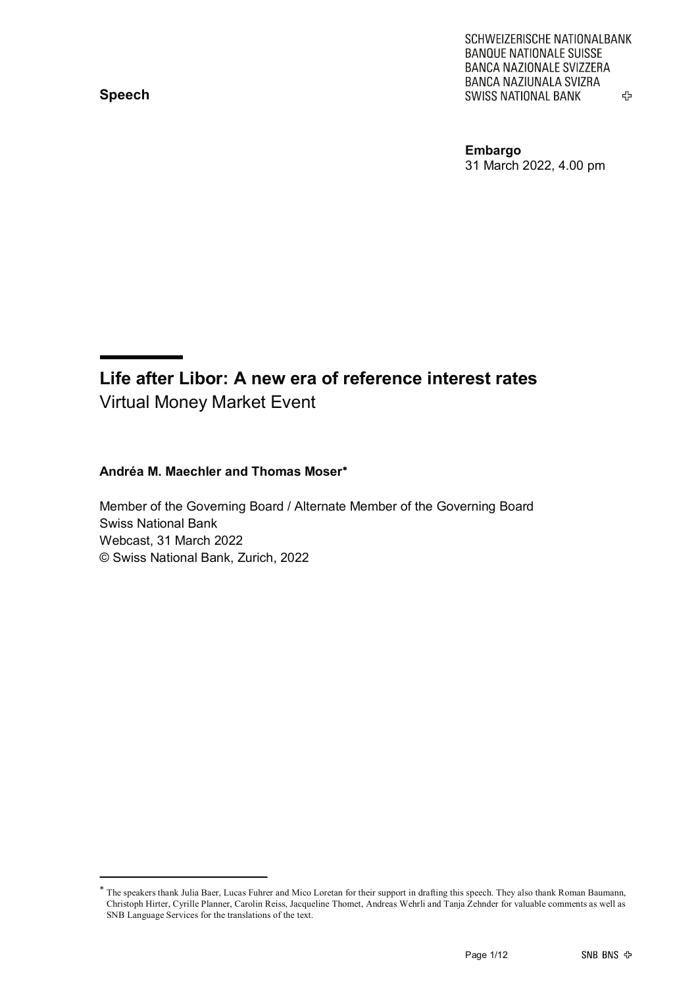**Speech**

SCHWEIZERISCHE NATIONALBANK **BANQUE NATIONALE SUISSE** BANCA NAZIONALE SVIZZERA BANCA NAZIUNALA SVIZRA **SWISS NATIONAL BANK** 亞

**Embargo** 31 March 2022, 4.00 pm

#### **Life after Libor: A new era of reference interest rates** Virtual Money Market Event

#### **Andréa M. Maechler and Thomas Moser**[∗](#page-0-0)

Member of the Governing Board / Alternate Member of the Governing Board Swiss National Bank Webcast, 31 March 2022 © Swiss National Bank, Zurich, 2022

<span id="page-0-0"></span><sup>∗</sup> The speakers thank Julia Baer, Lucas Fuhrer and Mico Loretan for their support in drafting this speech. They also thank Roman Baumann, Christoph Hirter, Cyrille Planner, Carolin Reiss, Jacqueline Thomet, Andreas Wehrli and Tanja Zehnder for valuable comments as well as SNB Language Services for the translations of the text.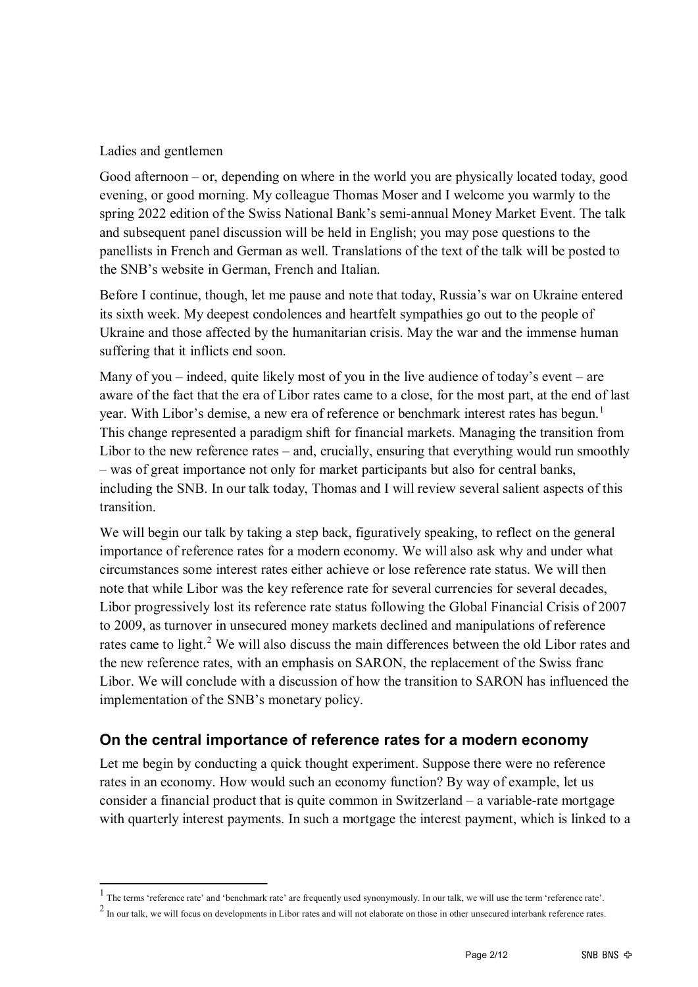#### Ladies and gentlemen

Good afternoon – or, depending on where in the world you are physically located today, good evening, or good morning. My colleague Thomas Moser and I welcome you warmly to the spring 2022 edition of the Swiss National Bank's semi-annual Money Market Event. The talk and subsequent panel discussion will be held in English; you may pose questions to the panellists in French and German as well. Translations of the text of the talk will be posted to the SNB's website in German, French and Italian.

Before I continue, though, let me pause and note that today, Russia's war on Ukraine entered its sixth week. My deepest condolences and heartfelt sympathies go out to the people of Ukraine and those affected by the humanitarian crisis. May the war and the immense human suffering that it inflicts end soon.

Many of you – indeed, quite likely most of you in the live audience of today's event – are aware of the fact that the era of Libor rates came to a close, for the most part, at the end of last year. With Libor's demise, a new era of reference or benchmark interest rates has begun.<sup>[1](#page-1-0)</sup> This change represented a paradigm shift for financial markets. Managing the transition from Libor to the new reference rates – and, crucially, ensuring that everything would run smoothly – was of great importance not only for market participants but also for central banks, including the SNB. In our talk today, Thomas and I will review several salient aspects of this transition.

We will begin our talk by taking a step back, figuratively speaking, to reflect on the general importance of reference rates for a modern economy. We will also ask why and under what circumstances some interest rates either achieve or lose reference rate status. We will then note that while Libor was the key reference rate for several currencies for several decades, Libor progressively lost its reference rate status following the Global Financial Crisis of 2007 to 2009, as turnover in unsecured money markets declined and manipulations of reference rates came to light.<sup>[2](#page-1-1)</sup> We will also discuss the main differences between the old Libor rates and the new reference rates, with an emphasis on SARON, the replacement of the Swiss franc Libor. We will conclude with a discussion of how the transition to SARON has influenced the implementation of the SNB's monetary policy.

#### **On the central importance of reference rates for a modern economy**

Let me begin by conducting a quick thought experiment. Suppose there were no reference rates in an economy. How would such an economy function? By way of example, let us consider a financial product that is quite common in Switzerland – a variable-rate mortgage with quarterly interest payments. In such a mortgage the interest payment, which is linked to a

<span id="page-1-0"></span><sup>1</sup> The terms 'reference rate' and 'benchmark rate' are frequently used synonymously. In our talk, we will use the term 'reference rate'.

<span id="page-1-1"></span><sup>&</sup>lt;sup>2</sup> In our talk, we will focus on developments in Libor rates and will not elaborate on those in other unsecured interbank reference rates.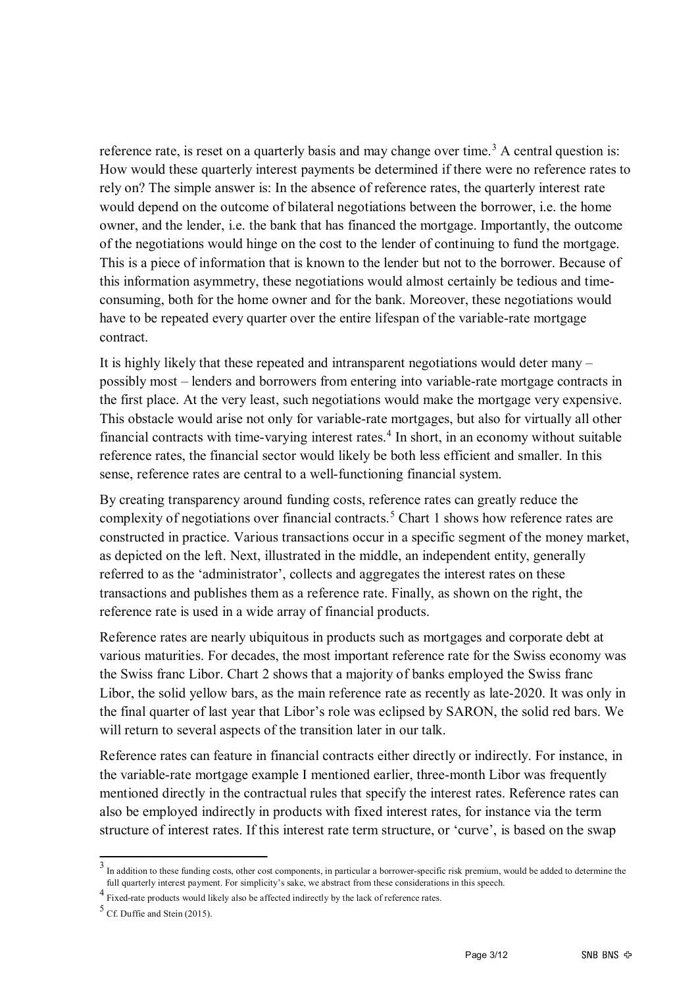reference rate, is reset on a quarterly basis and may change over time.<sup>[3](#page-2-0)</sup> A central question is: How would these quarterly interest payments be determined if there were no reference rates to rely on? The simple answer is: In the absence of reference rates, the quarterly interest rate would depend on the outcome of bilateral negotiations between the borrower, i.e. the home owner, and the lender, i.e. the bank that has financed the mortgage. Importantly, the outcome of the negotiations would hinge on the cost to the lender of continuing to fund the mortgage. This is a piece of information that is known to the lender but not to the borrower. Because of this information asymmetry, these negotiations would almost certainly be tedious and timeconsuming, both for the home owner and for the bank. Moreover, these negotiations would have to be repeated every quarter over the entire lifespan of the variable-rate mortgage contract.

It is highly likely that these repeated and intransparent negotiations would deter many – possibly most – lenders and borrowers from entering into variable-rate mortgage contracts in the first place. At the very least, such negotiations would make the mortgage very expensive. This obstacle would arise not only for variable-rate mortgages, but also for virtually all other financial contracts with time-varying interest rates.<sup>[4](#page-2-1)</sup> In short, in an economy without suitable reference rates, the financial sector would likely be both less efficient and smaller. In this sense, reference rates are central to a well-functioning financial system.

By creating transparency around funding costs, reference rates can greatly reduce the complexity of negotiations over financial contracts.<sup>[5](#page-2-2)</sup> Chart 1 shows how reference rates are constructed in practice. Various transactions occur in a specific segment of the money market, as depicted on the left. Next, illustrated in the middle, an independent entity, generally referred to as the 'administrator', collects and aggregates the interest rates on these transactions and publishes them as a reference rate. Finally, as shown on the right, the reference rate is used in a wide array of financial products.

Reference rates are nearly ubiquitous in products such as mortgages and corporate debt at various maturities. For decades, the most important reference rate for the Swiss economy was the Swiss franc Libor. Chart 2 shows that a majority of banks employed the Swiss franc Libor, the solid yellow bars, as the main reference rate as recently as late-2020. It was only in the final quarter of last year that Libor's role was eclipsed by SARON, the solid red bars. We will return to several aspects of the transition later in our talk.

Reference rates can feature in financial contracts either directly or indirectly. For instance, in the variable-rate mortgage example I mentioned earlier, three-month Libor was frequently mentioned directly in the contractual rules that specify the interest rates. Reference rates can also be employed indirectly in products with fixed interest rates, for instance via the term structure of interest rates. If this interest rate term structure, or 'curve', is based on the swap

<span id="page-2-0"></span><sup>&</sup>lt;sup>3</sup> In addition to these funding costs, other cost components, in particular a borrower-specific risk premium, would be added to determine the full quarterly interest payment. For simplicity's sake, we abstract from these considerations in this speech.

<span id="page-2-1"></span><sup>4&</sup>lt;br>Fixed-rate products would likely also be affected indirectly by the lack of reference rates.

<span id="page-2-2"></span> $5$  Cf. Duffie and Stein (2015).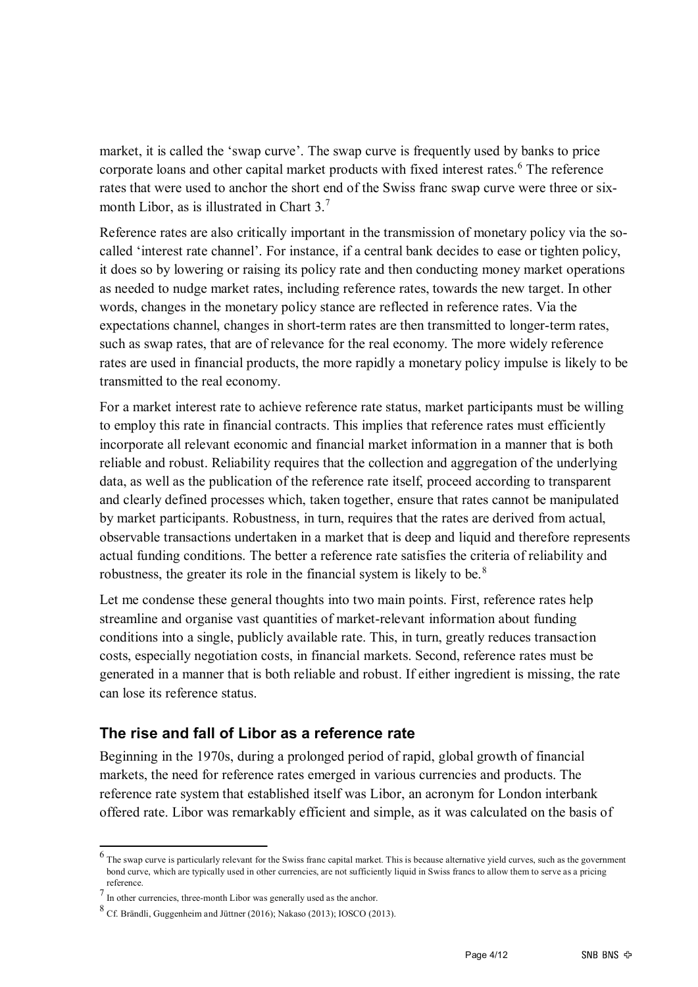market, it is called the 'swap curve'. The swap curve is frequently used by banks to price corporate loans and other capital market products with fixed interest rates.<sup>[6](#page-3-0)</sup> The reference rates that were used to anchor the short end of the Swiss franc swap curve were three or six-month Libor, as is illustrated in Chart 3.<sup>[7](#page-3-1)</sup>

Reference rates are also critically important in the transmission of monetary policy via the socalled 'interest rate channel'. For instance, if a central bank decides to ease or tighten policy, it does so by lowering or raising its policy rate and then conducting money market operations as needed to nudge market rates, including reference rates, towards the new target. In other words, changes in the monetary policy stance are reflected in reference rates. Via the expectations channel, changes in short-term rates are then transmitted to longer-term rates, such as swap rates, that are of relevance for the real economy. The more widely reference rates are used in financial products, the more rapidly a monetary policy impulse is likely to be transmitted to the real economy.

For a market interest rate to achieve reference rate status, market participants must be willing to employ this rate in financial contracts. This implies that reference rates must efficiently incorporate all relevant economic and financial market information in a manner that is both reliable and robust. Reliability requires that the collection and aggregation of the underlying data, as well as the publication of the reference rate itself, proceed according to transparent and clearly defined processes which, taken together, ensure that rates cannot be manipulated by market participants. Robustness, in turn, requires that the rates are derived from actual, observable transactions undertaken in a market that is deep and liquid and therefore represents actual funding conditions. The better a reference rate satisfies the criteria of reliability and robustness, the greater its role in the financial system is likely to be.<sup>[8](#page-3-2)</sup>

Let me condense these general thoughts into two main points. First, reference rates help streamline and organise vast quantities of market-relevant information about funding conditions into a single, publicly available rate. This, in turn, greatly reduces transaction costs, especially negotiation costs, in financial markets. Second, reference rates must be generated in a manner that is both reliable and robust. If either ingredient is missing, the rate can lose its reference status.

#### **The rise and fall of Libor as a reference rate**

Beginning in the 1970s, during a prolonged period of rapid, global growth of financial markets, the need for reference rates emerged in various currencies and products. The reference rate system that established itself was Libor, an acronym for London interbank offered rate. Libor was remarkably efficient and simple, as it was calculated on the basis of

<span id="page-3-0"></span><sup>&</sup>lt;sup>6</sup> The swap curve is particularly relevant for the Swiss franc capital market. This is because alternative yield curves, such as the government bond curve, which are typically used in other currencies, are not sufficiently liquid in Swiss francs to allow them to serve as a pricing reference.

<span id="page-3-1"></span> $7\overline{I}$  In other currencies, three-month Libor was generally used as the anchor.

<span id="page-3-2"></span><sup>8</sup> Cf. Brändli, Guggenheim and Jüttner (2016); Nakaso (2013); IOSCO (2013).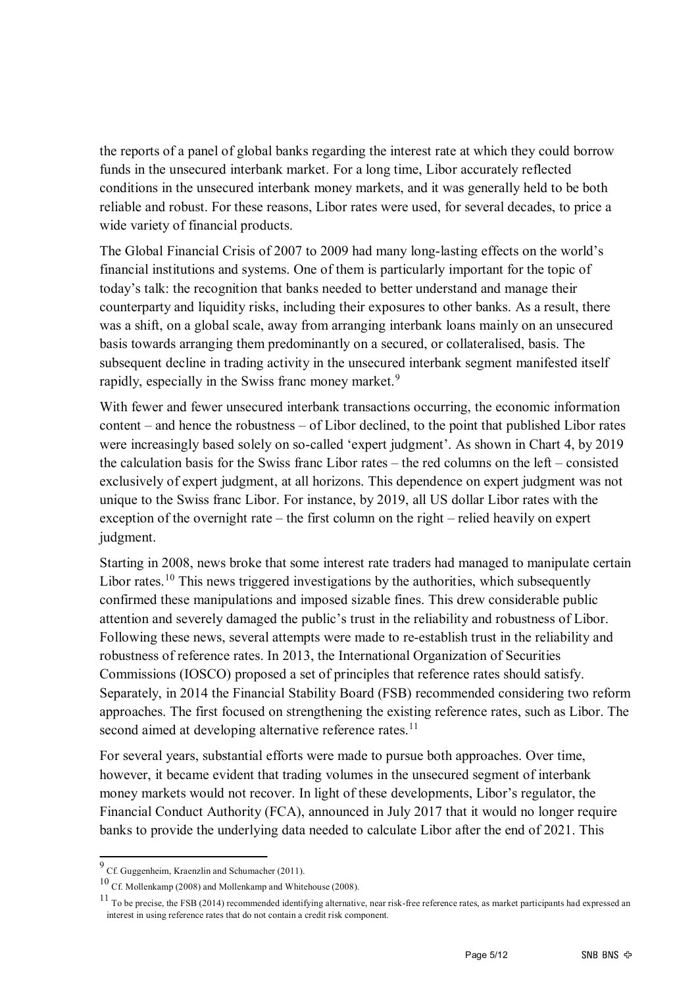the reports of a panel of global banks regarding the interest rate at which they could borrow funds in the unsecured interbank market. For a long time, Libor accurately reflected conditions in the unsecured interbank money markets, and it was generally held to be both reliable and robust. For these reasons, Libor rates were used, for several decades, to price a wide variety of financial products.

The Global Financial Crisis of 2007 to 2009 had many long-lasting effects on the world's financial institutions and systems. One of them is particularly important for the topic of today's talk: the recognition that banks needed to better understand and manage their counterparty and liquidity risks, including their exposures to other banks. As a result, there was a shift, on a global scale, away from arranging interbank loans mainly on an unsecured basis towards arranging them predominantly on a secured, or collateralised, basis. The subsequent decline in trading activity in the unsecured interbank segment manifested itself rapidly, especially in the Swiss franc money market.<sup>[9](#page-4-0)</sup>

With fewer and fewer unsecured interbank transactions occurring, the economic information content – and hence the robustness – of Libor declined, to the point that published Libor rates were increasingly based solely on so-called 'expert judgment'. As shown in Chart 4, by 2019 the calculation basis for the Swiss franc Libor rates – the red columns on the left – consisted exclusively of expert judgment, at all horizons. This dependence on expert judgment was not unique to the Swiss franc Libor. For instance, by 2019, all US dollar Libor rates with the exception of the overnight rate – the first column on the right – relied heavily on expert judgment.

Starting in 2008, news broke that some interest rate traders had managed to manipulate certain Libor rates.<sup>[10](#page-4-1)</sup> This news triggered investigations by the authorities, which subsequently confirmed these manipulations and imposed sizable fines. This drew considerable public attention and severely damaged the public's trust in the reliability and robustness of Libor. Following these news, several attempts were made to re-establish trust in the reliability and robustness of reference rates. In 2013, the International Organization of Securities Commissions (IOSCO) proposed a set of principles that reference rates should satisfy. Separately, in 2014 the Financial Stability Board (FSB) recommended considering two reform approaches. The first focused on strengthening the existing reference rates, such as Libor. The second aimed at developing alternative reference rates.<sup>[11](#page-4-2)</sup>

For several years, substantial efforts were made to pursue both approaches. Over time, however, it became evident that trading volumes in the unsecured segment of interbank money markets would not recover. In light of these developments, Libor's regulator, the Financial Conduct Authority (FCA), announced in July 2017 that it would no longer require banks to provide the underlying data needed to calculate Libor after the end of 2021. This

<span id="page-4-0"></span><sup>9</sup> Cf. Guggenheim, Kraenzlin and Schumacher (2011).

<span id="page-4-1"></span><sup>10</sup> Cf. Mollenkamp (2008) and Mollenkamp and Whitehouse (2008).

<span id="page-4-2"></span> $11$  To be precise, the FSB (2014) recommended identifying alternative, near risk-free reference rates, as market participants had expressed an interest in using reference rates that do not contain a credit risk component.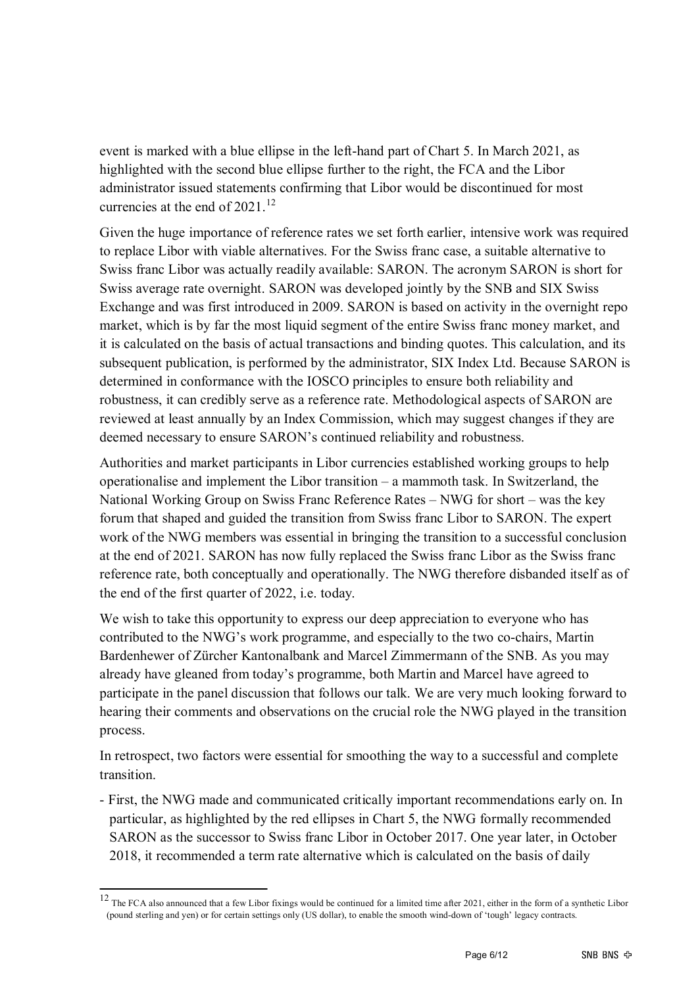event is marked with a blue ellipse in the left-hand part of Chart 5. In March 2021, as highlighted with the second blue ellipse further to the right, the FCA and the Libor administrator issued statements confirming that Libor would be discontinued for most currencies at the end of  $2021$ .<sup>[12](#page-5-0)</sup>

Given the huge importance of reference rates we set forth earlier, intensive work was required to replace Libor with viable alternatives. For the Swiss franc case, a suitable alternative to Swiss franc Libor was actually readily available: SARON. The acronym SARON is short for Swiss average rate overnight. SARON was developed jointly by the SNB and SIX Swiss Exchange and was first introduced in 2009. SARON is based on activity in the overnight repo market, which is by far the most liquid segment of the entire Swiss franc money market, and it is calculated on the basis of actual transactions and binding quotes. This calculation, and its subsequent publication, is performed by the administrator, SIX Index Ltd. Because SARON is determined in conformance with the IOSCO principles to ensure both reliability and robustness, it can credibly serve as a reference rate. Methodological aspects of SARON are reviewed at least annually by an Index Commission, which may suggest changes if they are deemed necessary to ensure SARON's continued reliability and robustness.

Authorities and market participants in Libor currencies established working groups to help operationalise and implement the Libor transition – a mammoth task. In Switzerland, the National Working Group on Swiss Franc Reference Rates – NWG for short – was the key forum that shaped and guided the transition from Swiss franc Libor to SARON. The expert work of the NWG members was essential in bringing the transition to a successful conclusion at the end of 2021. SARON has now fully replaced the Swiss franc Libor as the Swiss franc reference rate, both conceptually and operationally. The NWG therefore disbanded itself as of the end of the first quarter of 2022, i.e. today.

We wish to take this opportunity to express our deep appreciation to everyone who has contributed to the NWG's work programme, and especially to the two co-chairs, Martin Bardenhewer of Zürcher Kantonalbank and Marcel Zimmermann of the SNB. As you may already have gleaned from today's programme, both Martin and Marcel have agreed to participate in the panel discussion that follows our talk. We are very much looking forward to hearing their comments and observations on the crucial role the NWG played in the transition process.

In retrospect, two factors were essential for smoothing the way to a successful and complete transition.

- First, the NWG made and communicated critically important recommendations early on. In particular, as highlighted by the red ellipses in Chart 5, the NWG formally recommended SARON as the successor to Swiss franc Libor in October 2017. One year later, in October 2018, it recommended a term rate alternative which is calculated on the basis of daily

<span id="page-5-0"></span> $12$  The FCA also announced that a few Libor fixings would be continued for a limited time after 2021, either in the form of a synthetic Libor (pound sterling and yen) or for certain settings only (US dollar), to enable the smooth wind-down of 'tough' legacy contracts.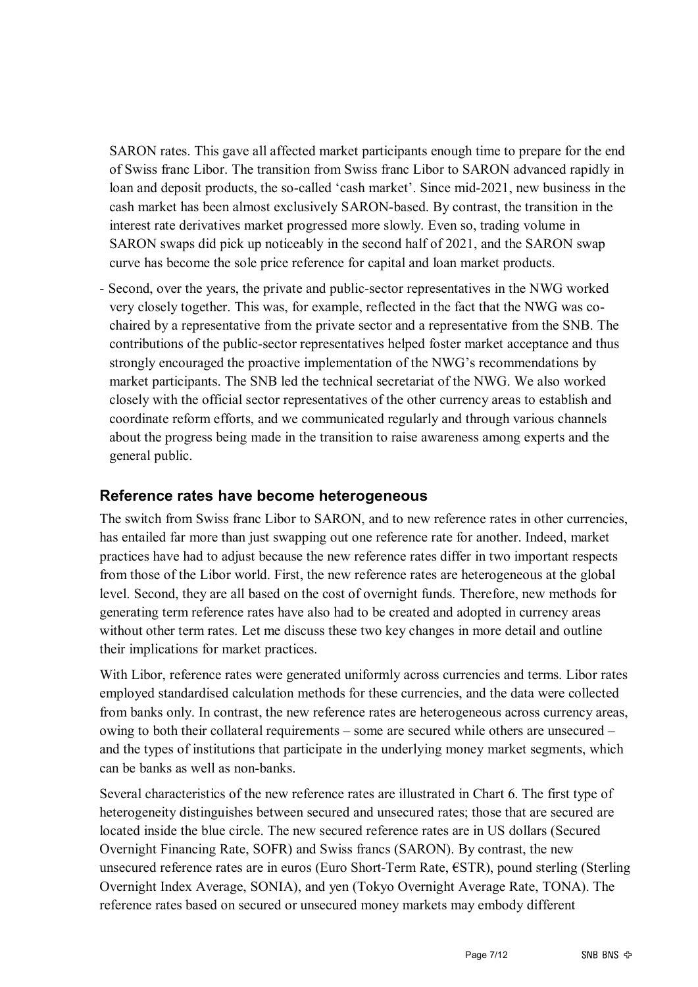SARON rates. This gave all affected market participants enough time to prepare for the end of Swiss franc Libor. The transition from Swiss franc Libor to SARON advanced rapidly in loan and deposit products, the so-called 'cash market'. Since mid-2021, new business in the cash market has been almost exclusively SARON-based. By contrast, the transition in the interest rate derivatives market progressed more slowly. Even so, trading volume in SARON swaps did pick up noticeably in the second half of 2021, and the SARON swap curve has become the sole price reference for capital and loan market products.

- Second, over the years, the private and public-sector representatives in the NWG worked very closely together. This was, for example, reflected in the fact that the NWG was cochaired by a representative from the private sector and a representative from the SNB. The contributions of the public-sector representatives helped foster market acceptance and thus strongly encouraged the proactive implementation of the NWG's recommendations by market participants. The SNB led the technical secretariat of the NWG. We also worked closely with the official sector representatives of the other currency areas to establish and coordinate reform efforts, and we communicated regularly and through various channels about the progress being made in the transition to raise awareness among experts and the general public.

#### **Reference rates have become heterogeneous**

The switch from Swiss franc Libor to SARON, and to new reference rates in other currencies, has entailed far more than just swapping out one reference rate for another. Indeed, market practices have had to adjust because the new reference rates differ in two important respects from those of the Libor world. First, the new reference rates are heterogeneous at the global level. Second, they are all based on the cost of overnight funds. Therefore, new methods for generating term reference rates have also had to be created and adopted in currency areas without other term rates. Let me discuss these two key changes in more detail and outline their implications for market practices.

With Libor, reference rates were generated uniformly across currencies and terms. Libor rates employed standardised calculation methods for these currencies, and the data were collected from banks only. In contrast, the new reference rates are heterogeneous across currency areas, owing to both their collateral requirements – some are secured while others are unsecured – and the types of institutions that participate in the underlying money market segments, which can be banks as well as non-banks.

Several characteristics of the new reference rates are illustrated in Chart 6. The first type of heterogeneity distinguishes between secured and unsecured rates; those that are secured are located inside the blue circle. The new secured reference rates are in US dollars (Secured Overnight Financing Rate, SOFR) and Swiss francs (SARON). By contrast, the new unsecured reference rates are in euros (Euro Short-Term Rate, €STR), pound sterling (Sterling Overnight Index Average, SONIA), and yen (Tokyo Overnight Average Rate, TONA). The reference rates based on secured or unsecured money markets may embody different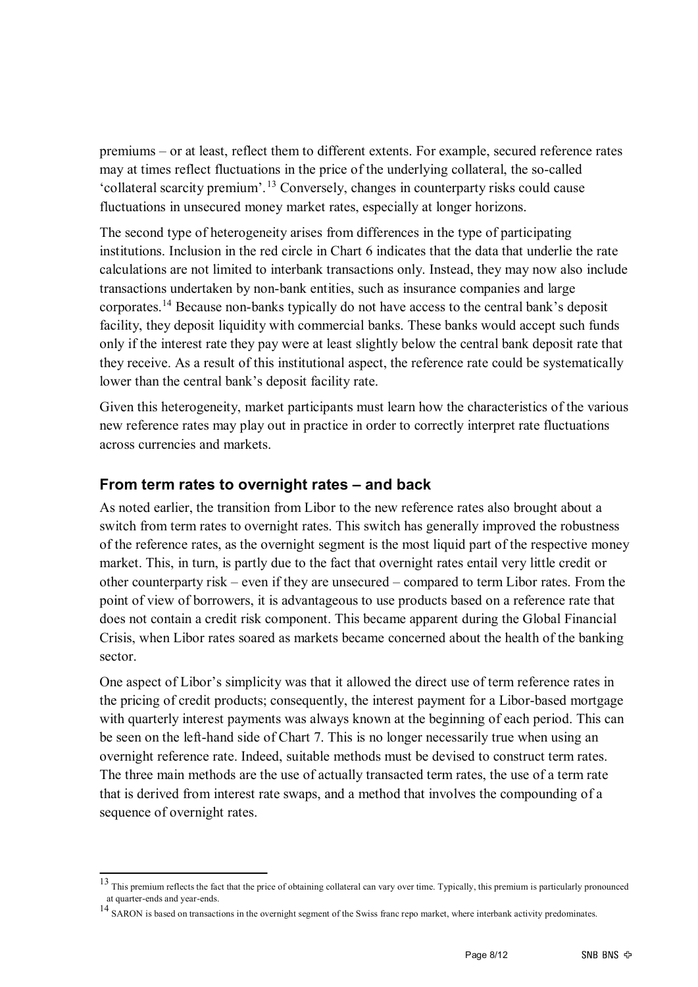premiums – or at least, reflect them to different extents. For example, secured reference rates may at times reflect fluctuations in the price of the underlying collateral, the so-called 'collateral scarcity premium'.[13](#page-7-0) Conversely, changes in counterparty risks could cause fluctuations in unsecured money market rates, especially at longer horizons.

The second type of heterogeneity arises from differences in the type of participating institutions. Inclusion in the red circle in Chart 6 indicates that the data that underlie the rate calculations are not limited to interbank transactions only. Instead, they may now also include transactions undertaken by non-bank entities, such as insurance companies and large corporates.[14](#page-7-1) Because non-banks typically do not have access to the central bank's deposit facility, they deposit liquidity with commercial banks. These banks would accept such funds only if the interest rate they pay were at least slightly below the central bank deposit rate that they receive. As a result of this institutional aspect, the reference rate could be systematically lower than the central bank's deposit facility rate.

Given this heterogeneity, market participants must learn how the characteristics of the various new reference rates may play out in practice in order to correctly interpret rate fluctuations across currencies and markets.

#### **From term rates to overnight rates – and back**

As noted earlier, the transition from Libor to the new reference rates also brought about a switch from term rates to overnight rates. This switch has generally improved the robustness of the reference rates, as the overnight segment is the most liquid part of the respective money market. This, in turn, is partly due to the fact that overnight rates entail very little credit or other counterparty risk – even if they are unsecured – compared to term Libor rates. From the point of view of borrowers, it is advantageous to use products based on a reference rate that does not contain a credit risk component. This became apparent during the Global Financial Crisis, when Libor rates soared as markets became concerned about the health of the banking sector.

One aspect of Libor's simplicity was that it allowed the direct use of term reference rates in the pricing of credit products; consequently, the interest payment for a Libor-based mortgage with quarterly interest payments was always known at the beginning of each period. This can be seen on the left-hand side of Chart 7. This is no longer necessarily true when using an overnight reference rate. Indeed, suitable methods must be devised to construct term rates. The three main methods are the use of actually transacted term rates, the use of a term rate that is derived from interest rate swaps, and a method that involves the compounding of a sequence of overnight rates.

<span id="page-7-0"></span> $\frac{13}{13}$  This premium reflects the fact that the price of obtaining collateral can vary over time. Typically, this premium is particularly pronounced at quarter-ends and year-ends.

<span id="page-7-1"></span><sup>14</sup> SARON is based on transactions in the overnight segment of the Swiss franc repo market, where interbank activity predominates.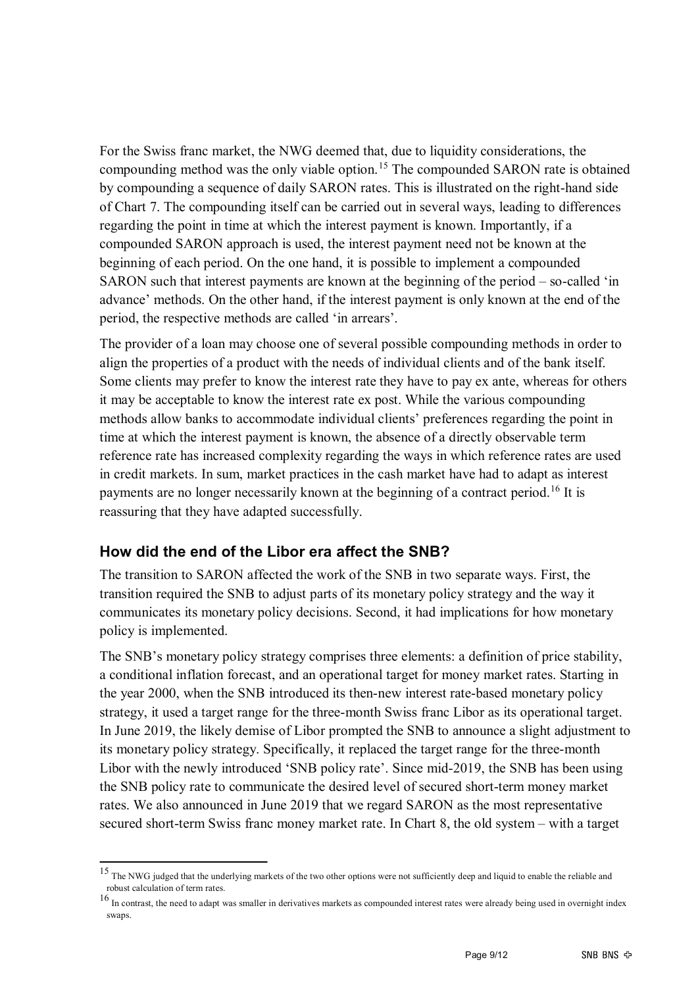For the Swiss franc market, the NWG deemed that, due to liquidity considerations, the compounding method was the only viable option.<sup>[15](#page-8-0)</sup> The compounded SARON rate is obtained by compounding a sequence of daily SARON rates. This is illustrated on the right-hand side of Chart 7. The compounding itself can be carried out in several ways, leading to differences regarding the point in time at which the interest payment is known. Importantly, if a compounded SARON approach is used, the interest payment need not be known at the beginning of each period. On the one hand, it is possible to implement a compounded SARON such that interest payments are known at the beginning of the period – so-called 'in advance' methods. On the other hand, if the interest payment is only known at the end of the period, the respective methods are called 'in arrears'.

The provider of a loan may choose one of several possible compounding methods in order to align the properties of a product with the needs of individual clients and of the bank itself. Some clients may prefer to know the interest rate they have to pay ex ante, whereas for others it may be acceptable to know the interest rate ex post. While the various compounding methods allow banks to accommodate individual clients' preferences regarding the point in time at which the interest payment is known, the absence of a directly observable term reference rate has increased complexity regarding the ways in which reference rates are used in credit markets. In sum, market practices in the cash market have had to adapt as interest payments are no longer necessarily known at the beginning of a contract period.<sup>[16](#page-8-1)</sup> It is reassuring that they have adapted successfully.

#### **How did the end of the Libor era affect the SNB?**

The transition to SARON affected the work of the SNB in two separate ways. First, the transition required the SNB to adjust parts of its monetary policy strategy and the way it communicates its monetary policy decisions. Second, it had implications for how monetary policy is implemented.

The SNB's monetary policy strategy comprises three elements: a definition of price stability, a conditional inflation forecast, and an operational target for money market rates. Starting in the year 2000, when the SNB introduced its then-new interest rate-based monetary policy strategy, it used a target range for the three-month Swiss franc Libor as its operational target. In June 2019, the likely demise of Libor prompted the SNB to announce a slight adjustment to its monetary policy strategy. Specifically, it replaced the target range for the three-month Libor with the newly introduced 'SNB policy rate'. Since mid-2019, the SNB has been using the SNB policy rate to communicate the desired level of secured short-term money market rates. We also announced in June 2019 that we regard SARON as the most representative secured short-term Swiss franc money market rate. In Chart 8, the old system – with a target

<span id="page-8-0"></span><sup>&</sup>lt;sup>15</sup> The NWG judged that the underlying markets of the two other options were not sufficiently deep and liquid to enable the reliable and robust calculation of term rates.

<span id="page-8-1"></span> $16$  In contrast, the need to adapt was smaller in derivatives markets as compounded interest rates were already being used in overnight index swaps.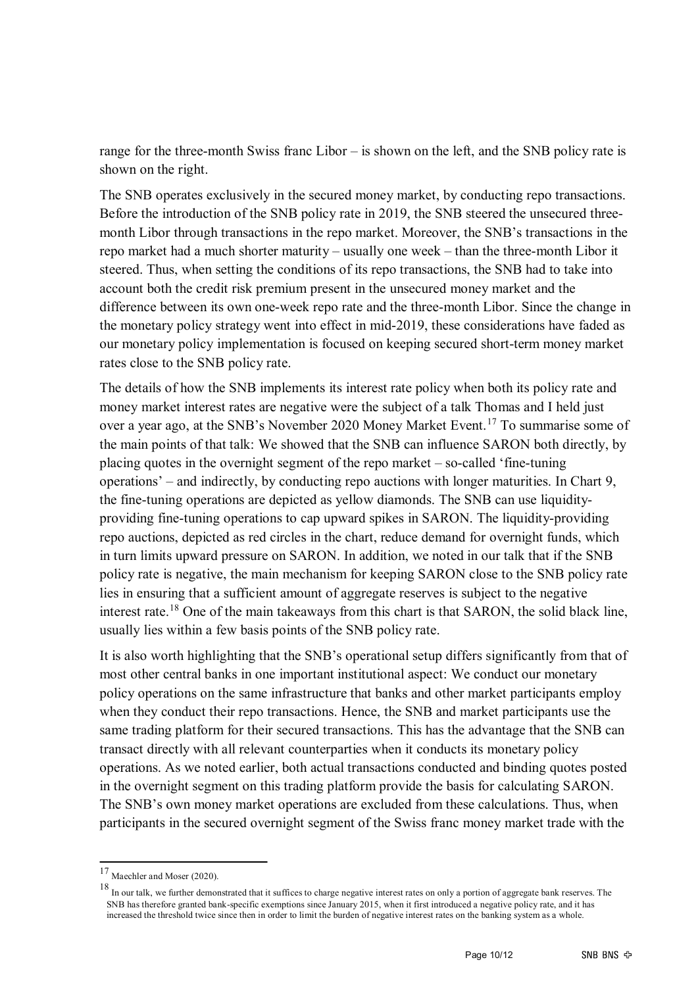range for the three-month Swiss franc Libor – is shown on the left, and the SNB policy rate is shown on the right.

The SNB operates exclusively in the secured money market, by conducting repo transactions. Before the introduction of the SNB policy rate in 2019, the SNB steered the unsecured threemonth Libor through transactions in the repo market. Moreover, the SNB's transactions in the repo market had a much shorter maturity – usually one week – than the three-month Libor it steered. Thus, when setting the conditions of its repo transactions, the SNB had to take into account both the credit risk premium present in the unsecured money market and the difference between its own one-week repo rate and the three-month Libor. Since the change in the monetary policy strategy went into effect in mid-2019, these considerations have faded as our monetary policy implementation is focused on keeping secured short-term money market rates close to the SNB policy rate.

The details of how the SNB implements its interest rate policy when both its policy rate and money market interest rates are negative were the subject of a talk Thomas and I held just over a year ago, at the SNB's November 2020 Money Market Event.<sup>[17](#page-9-0)</sup> To summarise some of the main points of that talk: We showed that the SNB can influence SARON both directly, by placing quotes in the overnight segment of the repo market – so-called 'fine-tuning operations' – and indirectly, by conducting repo auctions with longer maturities. In Chart 9, the fine-tuning operations are depicted as yellow diamonds. The SNB can use liquidityproviding fine-tuning operations to cap upward spikes in SARON. The liquidity-providing repo auctions, depicted as red circles in the chart, reduce demand for overnight funds, which in turn limits upward pressure on SARON. In addition, we noted in our talk that if the SNB policy rate is negative, the main mechanism for keeping SARON close to the SNB policy rate lies in ensuring that a sufficient amount of aggregate reserves is subject to the negative interest rate.[18](#page-9-1) One of the main takeaways from this chart is that SARON, the solid black line, usually lies within a few basis points of the SNB policy rate.

It is also worth highlighting that the SNB's operational setup differs significantly from that of most other central banks in one important institutional aspect: We conduct our monetary policy operations on the same infrastructure that banks and other market participants employ when they conduct their repo transactions. Hence, the SNB and market participants use the same trading platform for their secured transactions. This has the advantage that the SNB can transact directly with all relevant counterparties when it conducts its monetary policy operations. As we noted earlier, both actual transactions conducted and binding quotes posted in the overnight segment on this trading platform provide the basis for calculating SARON. The SNB's own money market operations are excluded from these calculations. Thus, when participants in the secured overnight segment of the Swiss franc money market trade with the

<span id="page-9-0"></span><sup>17</sup> Maechler and Moser (2020).

<span id="page-9-1"></span><sup>&</sup>lt;sup>18</sup> In our talk, we further demonstrated that it suffices to charge negative interest rates on only a portion of aggregate bank reserves. The SNB has therefore granted bank-specific exemptions since January 2015, when it first introduced a negative policy rate, and it has increased the threshold twice since then in order to limit the burden of negative interest rates on the banking system as a whole.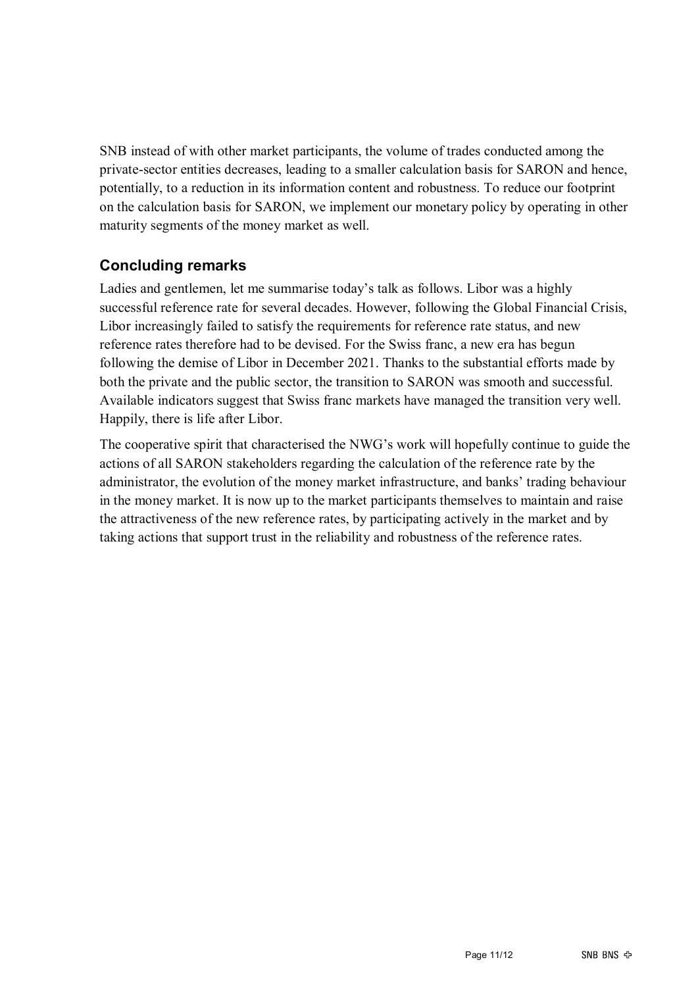SNB instead of with other market participants, the volume of trades conducted among the private-sector entities decreases, leading to a smaller calculation basis for SARON and hence, potentially, to a reduction in its information content and robustness. To reduce our footprint on the calculation basis for SARON, we implement our monetary policy by operating in other maturity segments of the money market as well.

#### **Concluding remarks**

Ladies and gentlemen, let me summarise today's talk as follows. Libor was a highly successful reference rate for several decades. However, following the Global Financial Crisis, Libor increasingly failed to satisfy the requirements for reference rate status, and new reference rates therefore had to be devised. For the Swiss franc, a new era has begun following the demise of Libor in December 2021. Thanks to the substantial efforts made by both the private and the public sector, the transition to SARON was smooth and successful. Available indicators suggest that Swiss franc markets have managed the transition very well. Happily, there is life after Libor.

The cooperative spirit that characterised the NWG's work will hopefully continue to guide the actions of all SARON stakeholders regarding the calculation of the reference rate by the administrator, the evolution of the money market infrastructure, and banks' trading behaviour in the money market. It is now up to the market participants themselves to maintain and raise the attractiveness of the new reference rates, by participating actively in the market and by taking actions that support trust in the reliability and robustness of the reference rates.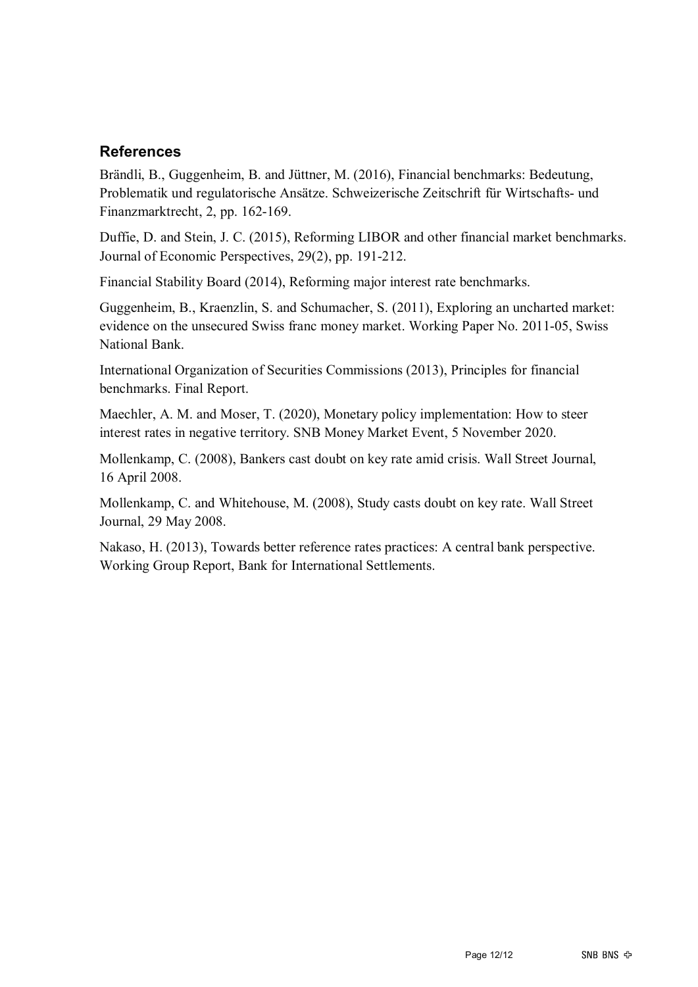#### **References**

Brändli, B., Guggenheim, B. and Jüttner, M. (2016), Financial benchmarks: Bedeutung, Problematik und regulatorische Ansätze. Schweizerische Zeitschrift für Wirtschafts- und Finanzmarktrecht, 2, pp. 162-169.

Duffie, D. and Stein, J. C. (2015), Reforming LIBOR and other financial market benchmarks. Journal of Economic Perspectives, 29(2), pp. 191-212.

Financial Stability Board (2014), Reforming major interest rate benchmarks.

Guggenheim, B., Kraenzlin, S. and Schumacher, S. (2011), Exploring an uncharted market: evidence on the unsecured Swiss franc money market. Working Paper No. 2011-05, Swiss National Bank.

International Organization of Securities Commissions (2013), Principles for financial benchmarks. Final Report.

Maechler, A. M. and Moser, T. (2020), Monetary policy implementation: How to steer interest rates in negative territory. SNB Money Market Event, 5 November 2020.

Mollenkamp, C. (2008), Bankers cast doubt on key rate amid crisis. Wall Street Journal, 16 April 2008.

Mollenkamp, C. and Whitehouse, M. (2008), Study casts doubt on key rate. Wall Street Journal, 29 May 2008.

Nakaso, H. (2013), Towards better reference rates practices: A central bank perspective. Working Group Report, Bank for International Settlements.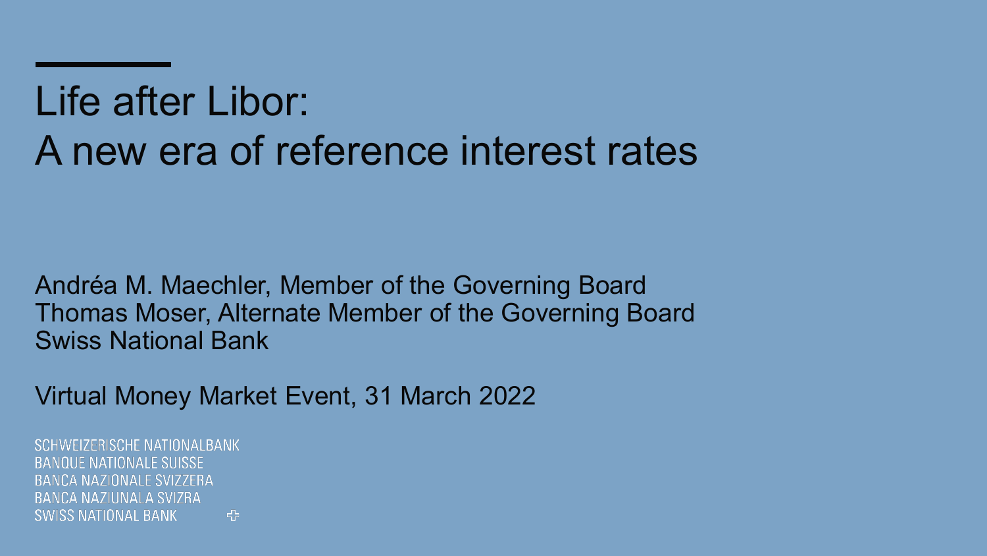# Life after Libor: A new era of reference interest rates

Andréa M. Maechler, Member of the Governing Board Thomas Moser, Alternate Member of the Governing Board Swiss National Bank

Virtual Money Market Event, 31 March 2022

**SCHWEIZERISCHE NATIONAL BANK BANQUE NATIONALE SUISSE** BANCA NAZIONALE SVIZZERA BANCA NAZILINALA SVIZRA  $\left| \cdot \right|$ SWISS NATIONAL BANK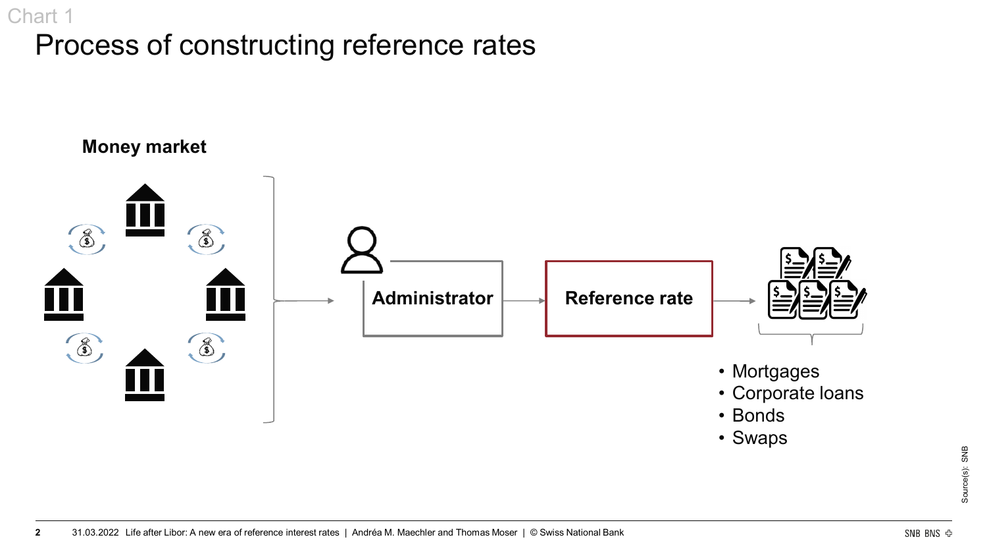## Process of constructing reference rates Chart 1

## **Money market**  $\circled{3}$  $\mathbb{Z}$ **Administrator Reference rate**  $\begin{picture}(120,15) \put(0,0){\line(1,0){155}} \put(15,0){\line(1,0){155}} \put(15,0){\line(1,0){155}} \put(15,0){\line(1,0){155}} \put(15,0){\line(1,0){155}} \put(15,0){\line(1,0){155}} \put(15,0){\line(1,0){155}} \put(15,0){\line(1,0){155}} \put(15,0){\line(1,0){155}} \put(15,0){\line(1,0){155}} \put(15,0){\line(1,0){155}}$ 3 • Mortgages • Corporate loans • Bonds

• Swaps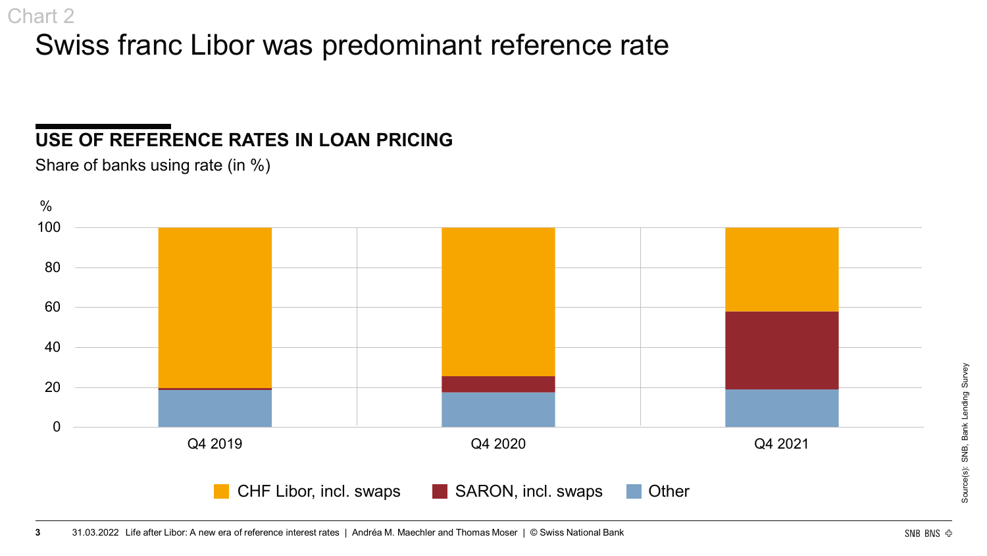## Swiss franc Libor was predominant reference rate

## **USE OF REFERENCE RATES IN LOAN PRICING**



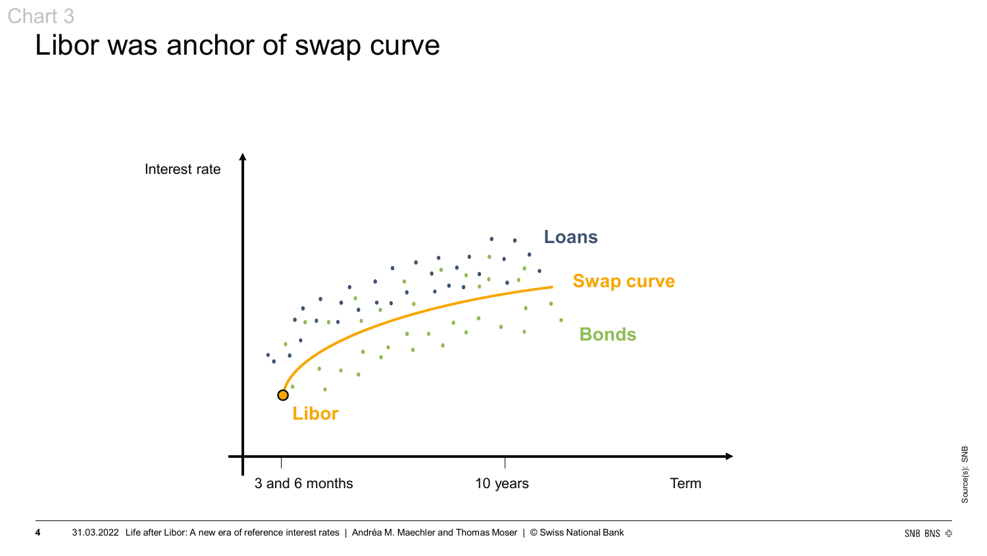## Libor was anchor of swap curve Chart 3

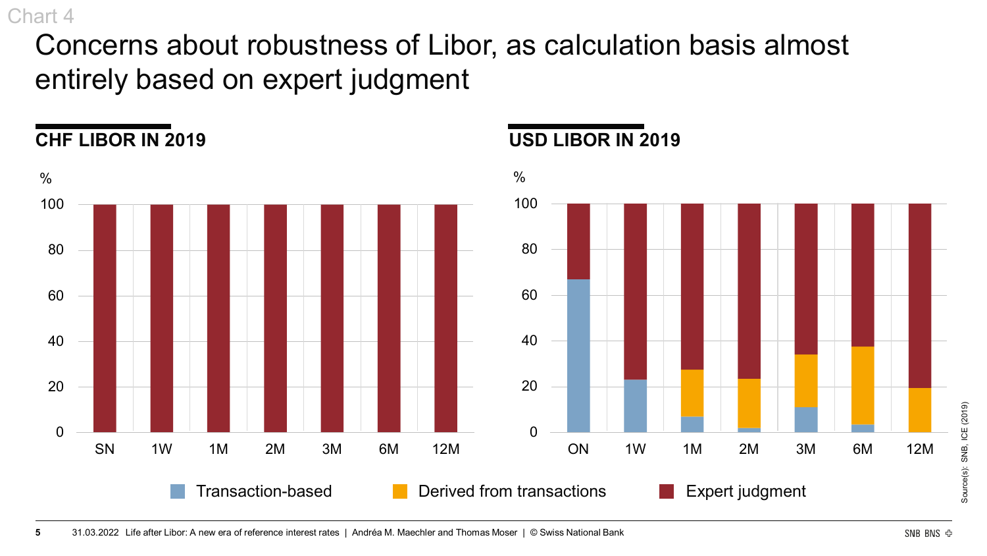Concerns about robustness of Libor, as calculation basis almost entirely based on expert judgment



### **CHF LIBOR IN 2019 USD LIBOR IN 2019**



Source(s): SNB, ICE (2019)

Source(s):

SNB, ICE (2019)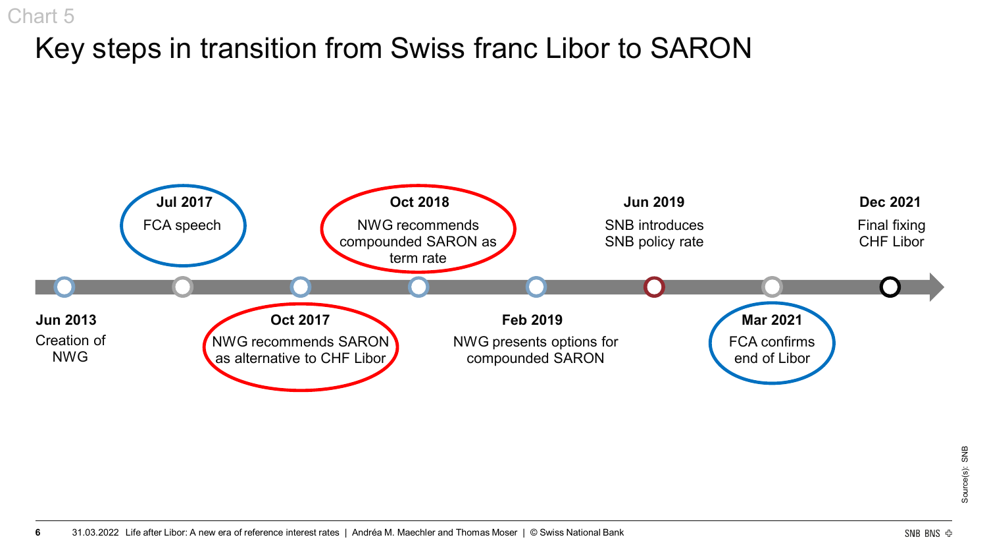## Key steps in transition from Swiss franc Libor to SARON

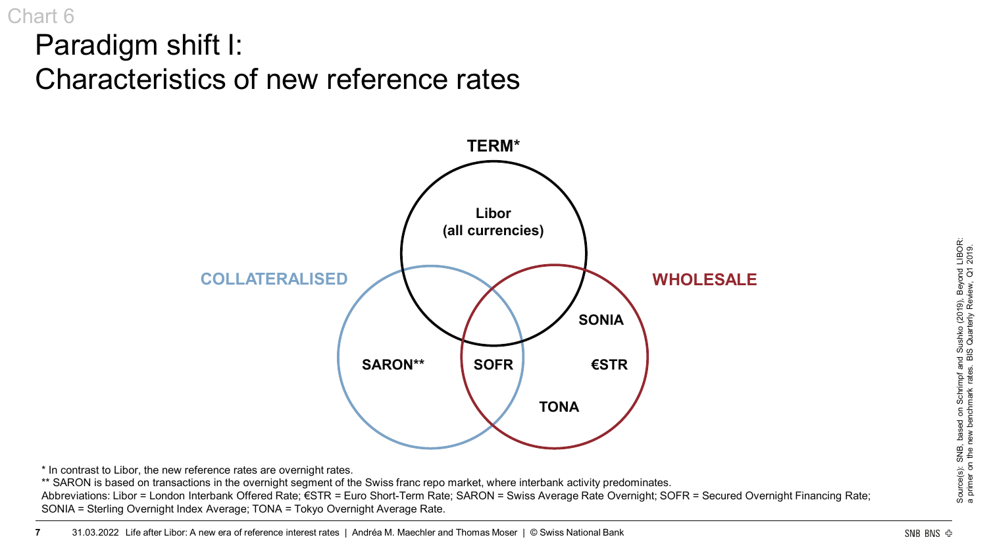Paradigm shift I: Characteristics of new reference rates



\* In contrast to Libor, the new reference rates are overnight rates.

\*\* SARON is based on transactions in the overnight segment of the Swiss franc repo market, where interbank activity predominates.

Abbreviations: Libor = London Interbank Offered Rate; €STR = Euro Short-Term Rate; SARON = Swiss Average Rate Overnight; SOFR = Secured Overnight Financing Rate; SONIA = Sterling Overnight Index Average; TONA = Tokyo Overnight Average Rate.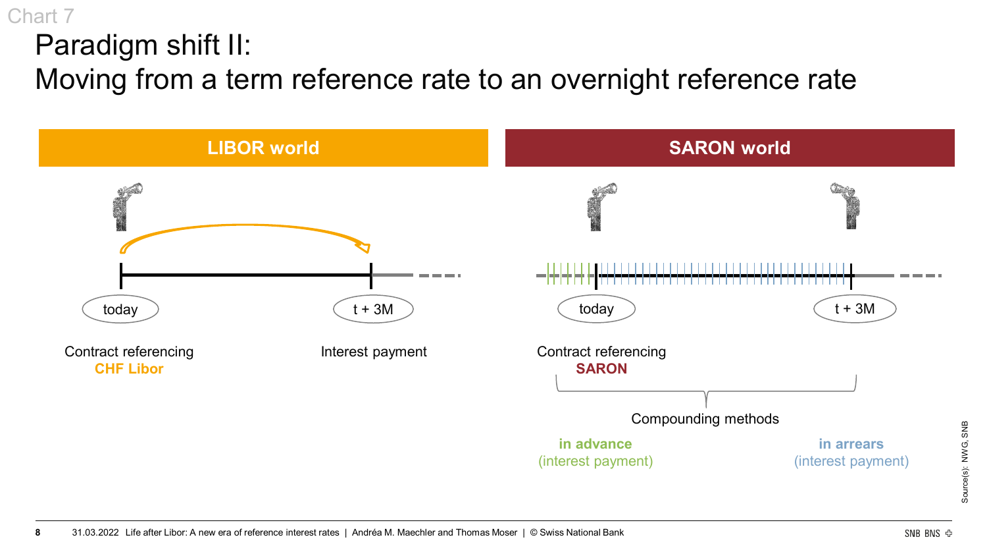## Paradigm shift II: Moving from a term reference rate to an overnight reference rate



Chart 7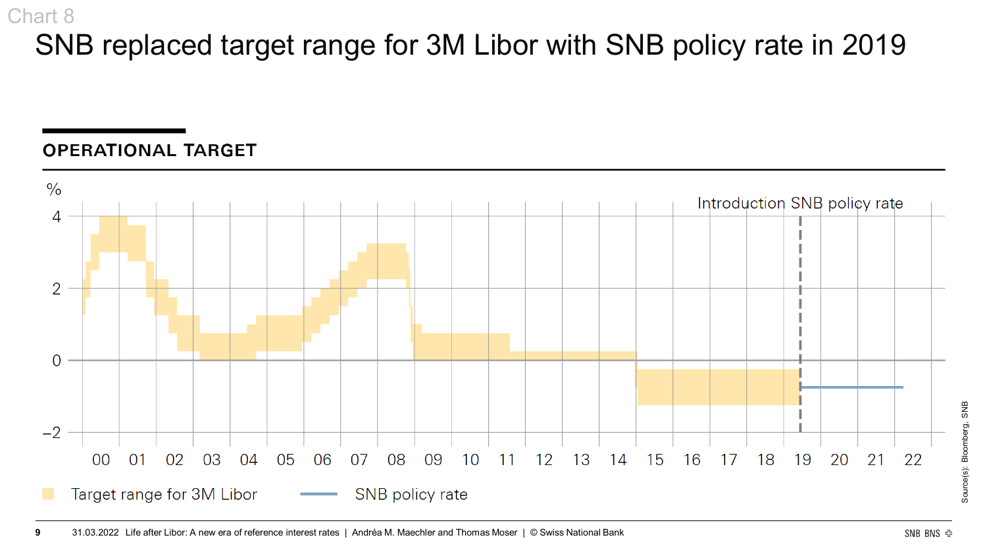## SNB replaced target range for 3M Libor with SNB policy rate in 2019

#### **OPERATIONAL TARGET**

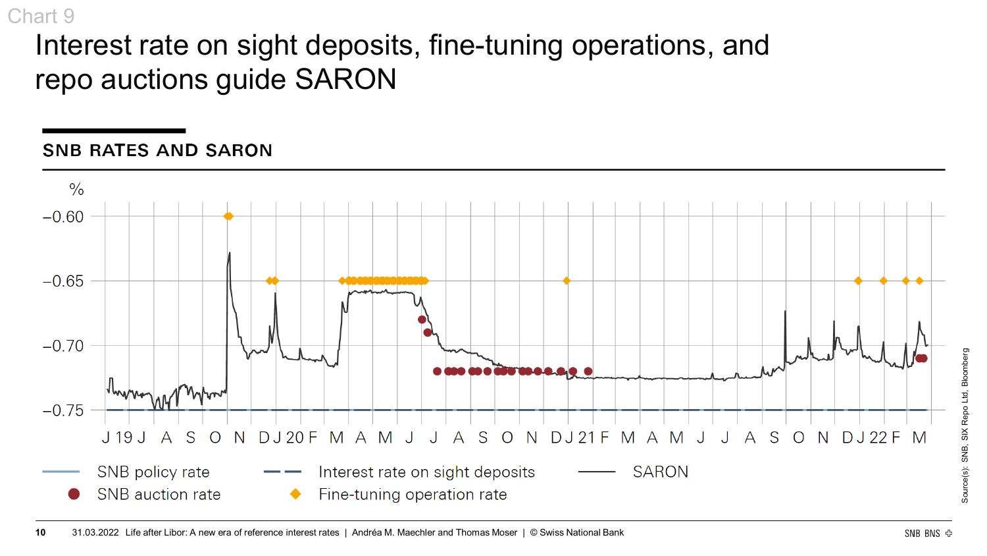## Interest rate on sight deposits, fine-tuning operations, and repo auctions guide SARON

### **SNB RATES AND SARON**